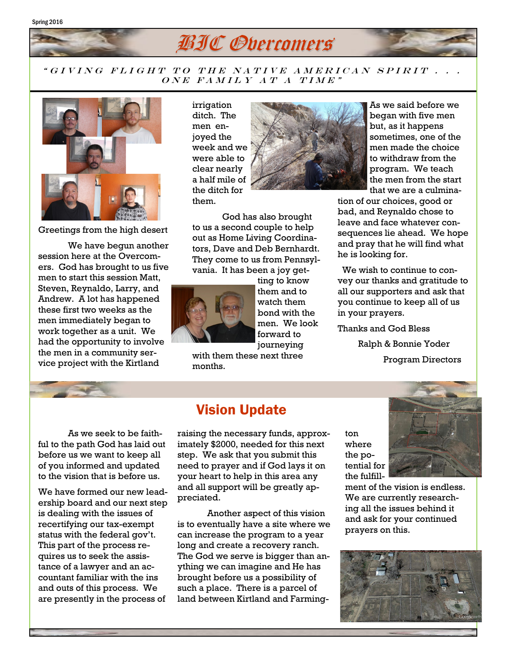

## " GIVING FLIGHT TO THE NATIVE AMERICAN SPIRIT . .  $\overline{ONE}$  FAMILY AT A TIME"



Greetings from the high desert

We have begun another session here at the Overcomers. God has brought to us five men to start this session Matt, Steven, Reynaldo, Larry, and Andrew. A lot has happened these first two weeks as the men immediately began to work together as a unit. We had the opportunity to involve the men in a community service project with the Kirtland

irrigation ditch. The men enjoyed the week and we were able to clear nearly a half mile of the ditch for them.



God has also brought to us a second couple to help out as Home Living Coordinators, Dave and Deb Bernhardt. They come to us from Pennsylvania. It has been a joy get-



ting to know them and to watch them bond with the men. We look forward to journeying

with them these next three months.

As we said before we began with five men but, as it happens sometimes, one of the men made the choice to withdraw from the program. We teach the men from the start that we are a culmina-

tion of our choices, good or bad, and Reynaldo chose to leave and face whatever consequences lie ahead. We hope and pray that he will find what he is looking for.

 We wish to continue to convey our thanks and gratitude to all our supporters and ask that you continue to keep all of us in your prayers.

Thanks and God Bless

 Ralph & Bonnie Yoder Program Directors

As we seek to be faithful to the path God has laid out before us we want to keep all of you informed and updated to the vision that is before us.

We have formed our new leadership board and our next step is dealing with the issues of recertifying our tax-exempt status with the federal gov't. This part of the process requires us to seek the assistance of a lawyer and an accountant familiar with the ins and outs of this process. We are presently in the process of

## Vision Update

raising the necessary funds, approximately \$2000, needed for this next step. We ask that you submit this need to prayer and if God lays it on your heart to help in this area any and all support will be greatly appreciated.

Another aspect of this vision is to eventually have a site where we can increase the program to a year long and create a recovery ranch. The God we serve is bigger than anything we can imagine and He has brought before us a possibility of such a place. There is a parcel of land between Kirtland and Farmington where the potential for the fulfill-



ment of the vision is endless. We are currently researching all the issues behind it and ask for your continued prayers on this.